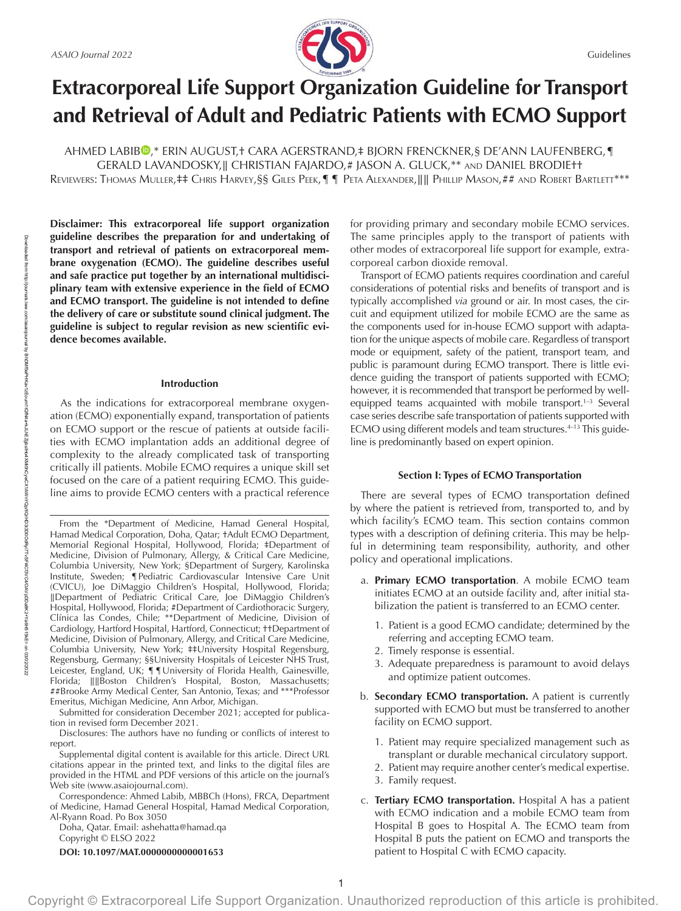

# **Extracorporeal Life Support Organization Guideline for Transport and Retrieval of Adult and Pediatric Patients with ECMO Support**

AHMED LABIB<sup>®</sup>,\* ERIN AUGUST,† CARA AGERSTRAND,‡ BJORN FRENCKNER,§ DE'ANN LAUFENBERG,¶ GERALD LAVANDOSKY,∥ CHRISTIAN FAJARDO,# JASON A. GLUCK,\*\* and DANIEL BRODIE†† Reviewers: Thomas Muller,‡‡ Chris Harvey,§§ Giles Peek,¶¶ Peta Alexander,∥∥ Phillip Mason,## and Robert Bartlett\*\*\*

**Disclaimer: This extracorporeal life support organization guideline describes the preparation for and undertaking of transport and retrieval of patients on extracorporeal membrane oxygenation (ECMO). The guideline describes useful and safe practice put together by an international multidisciplinary team with extensive experience in the field of ECMO and ECMO transport. The guideline is not intended to define the delivery of care or substitute sound clinical judgment. The guideline is subject to regular revision as new scientific evidence becomes available.**

#### **Introduction**

As the indications for extracorporeal membrane oxygenation (ECMO) exponentially expand, transportation of patients on ECMO support or the rescue of patients at outside facilities with ECMO implantation adds an additional degree of complexity to the already complicated task of transporting critically ill patients. Mobile ECMO requires a unique skill set focused on the care of a patient requiring ECMO. This guideline aims to provide ECMO centers with a practical reference

Submitted for consideration December 2021; accepted for publication in revised form December 2021.

Disclosures: The authors have no funding or conflicts of interest to report.

Supplemental digital content is available for this article. Direct URL citations appear in the printed text, and links to the digital files are provided in the HTML and PDF versions of this article on the journal's Web site [\(www.asaiojournal.com](https://www.asaiojournal.com)).

Correspondence: Ahmed Labib, MBBCh (Hons), FRCA, Department of Medicine, Hamad General Hospital, Hamad Medical Corporation, Al-Ryann Road. Po Box 3050

Doha, Qatar. Email: [ashehatta@hamad.qa](mailto:ashehatta@hamad.qa)

Copyright © ELSO 2022

**DOI: 10.1097/MAT.0000000000001653**

om/asaiojournal by BrDMf5ePHKav1zEoum1rQM4a+kJLhEZgbslHo4XMMDrCyx1AWnYQp/IlQrHD33D0OdRyi7TvSFl4C3VC4/OAVpDDa8K2+Ya6H515kF= BhDMf5ePHKav1zEoum1tQfN4a+kJLhEZgbsIHo4XMi0hCywCX1AWnYQp/IlQrHD3i3D0OdRyi7TvSFl4Cf3VC4/OAVpDDa8K2+Ya6H515kE=

> on 03/02/2022

Downloaded from

http://journals.lww.com/asaiojournal

for providing primary and secondary mobile ECMO services. The same principles apply to the transport of patients with other modes of extracorporeal life support for example, extracorporeal carbon dioxide removal.

Transport of ECMO patients requires coordination and careful considerations of potential risks and benefits of transport and is typically accomplished *via* ground or air. In most cases, the circuit and equipment utilized for mobile ECMO are the same as the components used for in-house ECMO support with adaptation for the unique aspects of mobile care. Regardless of transport mode or equipment, safety of the patient, transport team, and public is paramount during ECMO transport. There is little evidence guiding the transport of patients supported with ECMO; however, it is recommended that transport be performed by wellequipped teams acquainted with mobile transport.<sup>1-3</sup> Several case series describe safe transportation of patients supported with ECMO using different models and team structures.<sup>4-13</sup> This guideline is predominantly based on expert opinion.

# **Section I: Types of ECMO Transportation**

There are several types of ECMO transportation defined by where the patient is retrieved from, transported to, and by which facility's ECMO team. This section contains common types with a description of defining criteria. This may be helpful in determining team responsibility, authority, and other policy and operational implications.

- a. **Primary ECMO transportation**. A mobile ECMO team initiates ECMO at an outside facility and, after initial stabilization the patient is transferred to an ECMO center.
	- 1. Patient is a good ECMO candidate; determined by the referring and accepting ECMO team.
	- 2. Timely response is essential.
	- 3. Adequate preparedness is paramount to avoid delays and optimize patient outcomes.
- b. **Secondary ECMO transportation.** A patient is currently supported with ECMO but must be transferred to another facility on ECMO support.
	- 1. Patient may require specialized management such as transplant or durable mechanical circulatory support.
	- 2. Patient may require another center's medical expertise.
	- 3. Family request.
- c. **Tertiary ECMO transportation.** Hospital A has a patient with ECMO indication and a mobile ECMO team from Hospital B goes to Hospital A. The ECMO team from Hospital B puts the patient on ECMO and transports the patient to Hospital C with ECMO capacity.

From the \*Department of Medicine, Hamad General Hospital, Hamad Medical Corporation, Doha, Qatar; †Adult ECMO Department, Memorial Regional Hospital, Hollywood, Florida; ‡Department of Medicine, Division of Pulmonary, Allergy, & Critical Care Medicine, Columbia University, New York; §Department of Surgery, Karolinska Institute, Sweden; ¶Pediatric Cardiovascular Intensive Care Unit (CVICU), Joe DiMaggio Children's Hospital, Hollywood, Florida; ∥Department of Pediatric Critical Care, Joe DiMaggio Children's Hospital, Hollywood, Florida; #Department of Cardiothoracic Surgery, Clínica las Condes, Chile; \*\*Department of Medicine, Division of Cardiology, Hartford Hospital, Hartford, Connecticut; ††Department of Medicine, Division of Pulmonary, Allergy, and Critical Care Medicine, Columbia University, New York; ‡‡University Hospital Regensburg, Regensburg, Germany; §§University Hospitals of Leicester NHS Trust, Leicester, England, UK; ¶¶University of Florida Health, Gainesville, Florida; ∥∥Boston Children's Hospital, Boston, Massachusetts; ##Brooke Army Medical Center, San Antonio, Texas; and \*\*\*Professor Emeritus, Michigan Medicine, Ann Arbor, Michigan.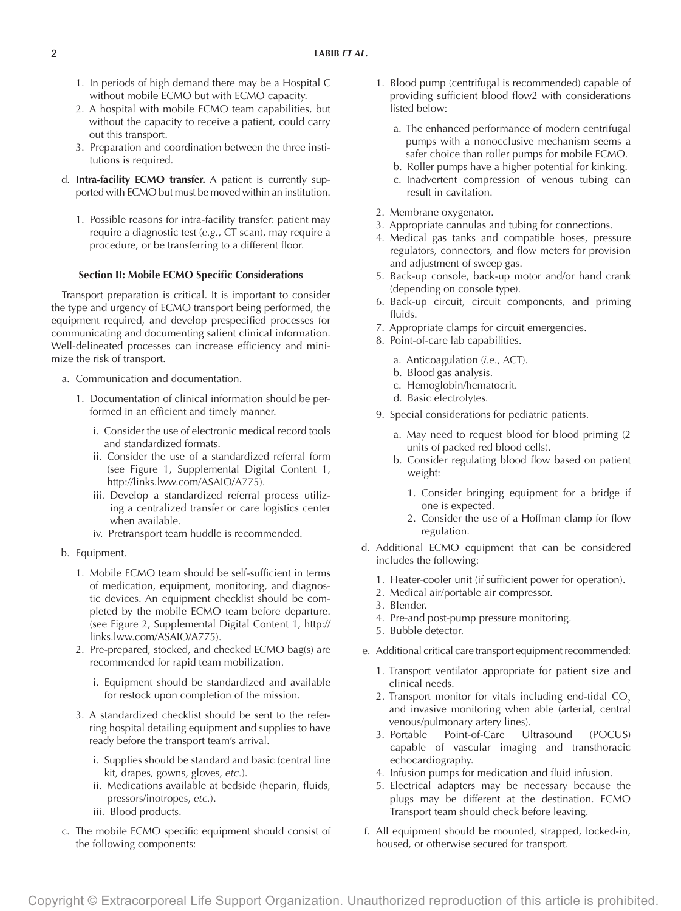- 1. In periods of high demand there may be a Hospital C without mobile ECMO but with ECMO capacity.
- 2. A hospital with mobile ECMO team capabilities, but without the capacity to receive a patient, could carry out this transport.
- 3. Preparation and coordination between the three institutions is required.
- d. **Intra-facility ECMO transfer.** A patient is currently supported with ECMO but must be moved within an institution.
	- 1. Possible reasons for intra-facility transfer: patient may require a diagnostic test (*e.g.*, CT scan), may require a procedure, or be transferring to a different floor.

# **Section II: Mobile ECMO Specific Considerations**

Transport preparation is critical. It is important to consider the type and urgency of ECMO transport being performed, the equipment required, and develop prespecified processes for communicating and documenting salient clinical information. Well-delineated processes can increase efficiency and minimize the risk of transport.

- a. Communication and documentation.
	- 1. Documentation of clinical information should be performed in an efficient and timely manner.
		- i. Consider the use of electronic medical record tools and standardized formats.
		- ii. Consider the use of a standardized referral form (see Figure 1, Supplemental Digital Content 1, [http://links.lww.com/ASAIO/A775\)](http://links.lww.com/ASAIO/A775).
		- iii. Develop a standardized referral process utilizing a centralized transfer or care logistics center when available.
		- iv. Pretransport team huddle is recommended.
- b. Equipment.
	- 1. Mobile ECMO team should be self-sufficient in terms of medication, equipment, monitoring, and diagnostic devices. An equipment checklist should be completed by the mobile ECMO team before departure. (see Figure 2, Supplemental Digital Content 1, [http://](http://links.lww.com/ASAIO/A775) [links.lww.com/ASAIO/A775](http://links.lww.com/ASAIO/A775)).
	- 2. Pre-prepared, stocked, and checked ECMO bag(s) are recommended for rapid team mobilization.
		- i. Equipment should be standardized and available for restock upon completion of the mission.
	- 3. A standardized checklist should be sent to the referring hospital detailing equipment and supplies to have ready before the transport team's arrival.
		- i. Supplies should be standard and basic (central line kit, drapes, gowns, gloves, *etc.*).
		- ii. Medications available at bedside (heparin, fluids, pressors/inotropes, *etc.*).
		- iii. Blood products.
- c. The mobile ECMO specific equipment should consist of the following components:
- 1. Blood pump (centrifugal is recommended) capable of providing sufficient blood flow2 with considerations listed below:
	- a. The enhanced performance of modern centrifugal pumps with a nonocclusive mechanism seems a safer choice than roller pumps for mobile ECMO.
	- b. Roller pumps have a higher potential for kinking.
	- c. Inadvertent compression of venous tubing can result in cavitation.
- 2. Membrane oxygenator.
- 3. Appropriate cannulas and tubing for connections.
- 4. Medical gas tanks and compatible hoses, pressure regulators, connectors, and flow meters for provision and adjustment of sweep gas.
- 5. Back-up console, back-up motor and/or hand crank (depending on console type).
- 6. Back-up circuit, circuit components, and priming fluids.
- 7. Appropriate clamps for circuit emergencies.
- 8. Point-of-care lab capabilities.
	- a. Anticoagulation (*i.e.*, ACT).
	- b. Blood gas analysis.
	- c. Hemoglobin/hematocrit.
	- d. Basic electrolytes.
- 9. Special considerations for pediatric patients.
	- a. May need to request blood for blood priming (2 units of packed red blood cells).
	- b. Consider regulating blood flow based on patient weight:
		- 1. Consider bringing equipment for a bridge if one is expected.
		- 2. Consider the use of a Hoffman clamp for flow regulation.
- d. Additional ECMO equipment that can be considered includes the following:
	- 1. Heater-cooler unit (if sufficient power for operation).
	- 2. Medical air/portable air compressor.
	- 3. Blender.
	- 4. Pre-and post-pump pressure monitoring.
	- 5. Bubble detector.
- e. Additional critical care transport equipment recommended:
	- 1. Transport ventilator appropriate for patient size and clinical needs.
	- 2. Transport monitor for vitals including end-tidal CO<sub>2</sub> and invasive monitoring when able (arterial, central venous/pulmonary artery lines).
	- 3. Portable Point-of-Care Ultrasound (POCUS) capable of vascular imaging and transthoracic echocardiography.
	- 4. Infusion pumps for medication and fluid infusion.
	- 5. Electrical adapters may be necessary because the plugs may be different at the destination. ECMO Transport team should check before leaving.
- f. All equipment should be mounted, strapped, locked-in, housed, or otherwise secured for transport.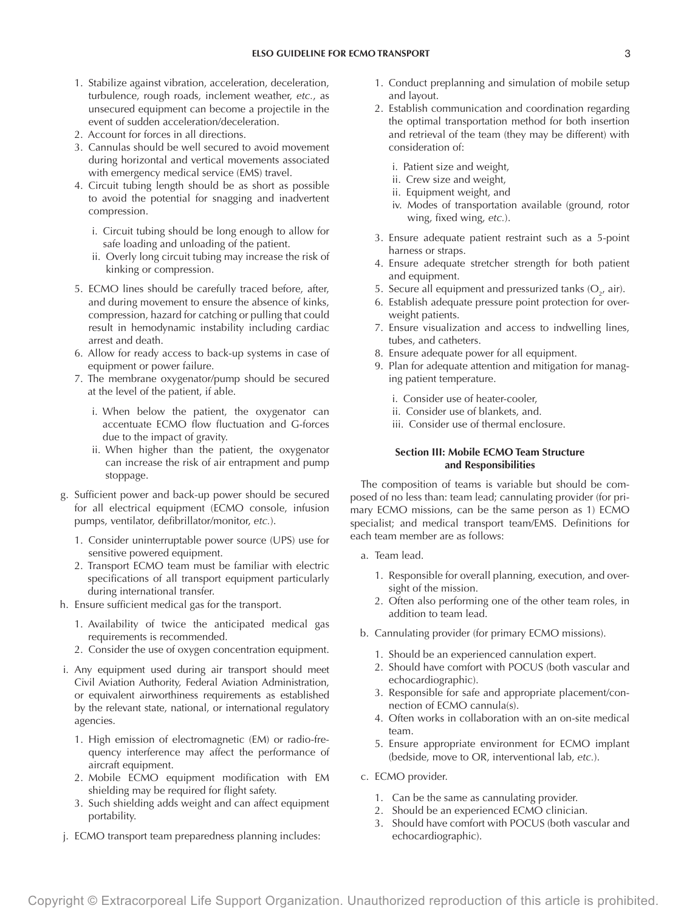- 1. Stabilize against vibration, acceleration, deceleration, turbulence, rough roads, inclement weather, *etc.*, as unsecured equipment can become a projectile in the event of sudden acceleration/deceleration.
- 2. Account for forces in all directions.
- 3. Cannulas should be well secured to avoid movement during horizontal and vertical movements associated with emergency medical service (EMS) travel.
- 4. Circuit tubing length should be as short as possible to avoid the potential for snagging and inadvertent compression.
	- i. Circuit tubing should be long enough to allow for safe loading and unloading of the patient.
	- ii. Overly long circuit tubing may increase the risk of kinking or compression.
- 5. ECMO lines should be carefully traced before, after, and during movement to ensure the absence of kinks, compression, hazard for catching or pulling that could result in hemodynamic instability including cardiac arrest and death.
- 6. Allow for ready access to back-up systems in case of equipment or power failure.
- 7. The membrane oxygenator/pump should be secured at the level of the patient, if able.
	- i. When below the patient, the oxygenator can accentuate ECMO flow fluctuation and G-forces due to the impact of gravity.
	- ii. When higher than the patient, the oxygenator can increase the risk of air entrapment and pump stoppage.
- g. Sufficient power and back-up power should be secured for all electrical equipment (ECMO console, infusion pumps, ventilator, defibrillator/monitor, *etc.*).
	- 1. Consider uninterruptable power source (UPS) use for sensitive powered equipment.
	- 2. Transport ECMO team must be familiar with electric specifications of all transport equipment particularly during international transfer.
- h. Ensure sufficient medical gas for the transport.
	- 1. Availability of twice the anticipated medical gas requirements is recommended.
	- 2. Consider the use of oxygen concentration equipment.
- i. Any equipment used during air transport should meet Civil Aviation Authority, Federal Aviation Administration, or equivalent airworthiness requirements as established by the relevant state, national, or international regulatory agencies.
	- 1. High emission of electromagnetic (EM) or radio-frequency interference may affect the performance of aircraft equipment.
	- 2. Mobile ECMO equipment modification with EM shielding may be required for flight safety.
	- 3. Such shielding adds weight and can affect equipment portability.
- j. ECMO transport team preparedness planning includes:
- 1. Conduct preplanning and simulation of mobile setup and layout.
- 2. Establish communication and coordination regarding the optimal transportation method for both insertion and retrieval of the team (they may be different) with consideration of:
	- i. Patient size and weight,
	- ii. Crew size and weight,
	- ii. Equipment weight, and
	- iv. Modes of transportation available (ground, rotor wing, fixed wing, *etc.*).
- 3. Ensure adequate patient restraint such as a 5-point harness or straps.
- 4. Ensure adequate stretcher strength for both patient and equipment.
- 5. Secure all equipment and pressurized tanks  $(O_{2'}^{\dagger})$  air).
- 6. Establish adequate pressure point protection for overweight patients.
- 7. Ensure visualization and access to indwelling lines, tubes, and catheters.
- 8. Ensure adequate power for all equipment.
- 9. Plan for adequate attention and mitigation for managing patient temperature.
	- i. Consider use of heater-cooler,
	- ii. Consider use of blankets, and.
	- iii. Consider use of thermal enclosure.

# **Section III: Mobile ECMO Team Structure and Responsibilities**

The composition of teams is variable but should be composed of no less than: team lead; cannulating provider (for primary ECMO missions, can be the same person as 1) ECMO specialist; and medical transport team/EMS. Definitions for each team member are as follows:

- a. Team lead.
	- 1. Responsible for overall planning, execution, and oversight of the mission.
	- 2. Often also performing one of the other team roles, in addition to team lead.
- b. Cannulating provider (for primary ECMO missions).
	- 1. Should be an experienced cannulation expert.
	- 2. Should have comfort with POCUS (both vascular and echocardiographic).
	- 3. Responsible for safe and appropriate placement/connection of ECMO cannula(s).
	- 4. Often works in collaboration with an on-site medical team.
	- 5. Ensure appropriate environment for ECMO implant (bedside, move to OR, interventional lab, *etc.*).
- c. ECMO provider.
	- 1. Can be the same as cannulating provider.
	- 2. Should be an experienced ECMO clinician.
	- 3. Should have comfort with POCUS (both vascular and echocardiographic).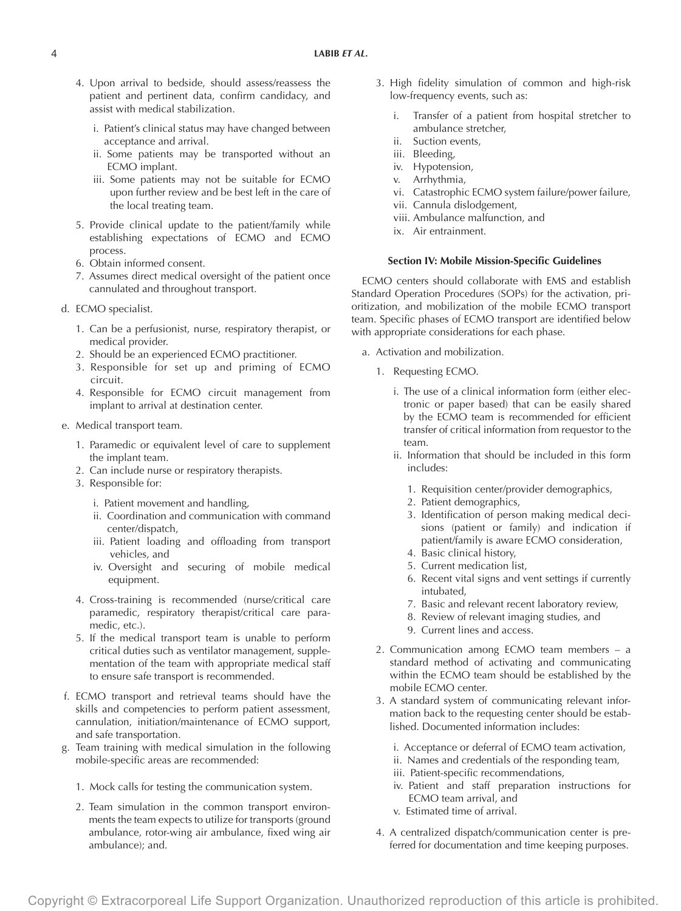- 4. Upon arrival to bedside, should assess/reassess the patient and pertinent data, confirm candidacy, and assist with medical stabilization.
	- i. Patient's clinical status may have changed between acceptance and arrival.
	- ii. Some patients may be transported without an ECMO implant.
	- iii. Some patients may not be suitable for ECMO upon further review and be best left in the care of the local treating team.
- 5. Provide clinical update to the patient/family while establishing expectations of ECMO and ECMO process.
- 6. Obtain informed consent.
- 7. Assumes direct medical oversight of the patient once cannulated and throughout transport.
- d. ECMO specialist.
	- 1. Can be a perfusionist, nurse, respiratory therapist, or medical provider.
	- 2. Should be an experienced ECMO practitioner.
	- 3. Responsible for set up and priming of ECMO circuit.
	- 4. Responsible for ECMO circuit management from implant to arrival at destination center.
- e. Medical transport team.
	- 1. Paramedic or equivalent level of care to supplement the implant team.
	- 2. Can include nurse or respiratory therapists.
	- 3. Responsible for:
		- i. Patient movement and handling,
		- ii. Coordination and communication with command center/dispatch,
		- iii. Patient loading and offloading from transport vehicles, and
		- iv. Oversight and securing of mobile medical equipment.
	- 4. Cross-training is recommended (nurse/critical care paramedic, respiratory therapist/critical care paramedic, etc.).
	- 5. If the medical transport team is unable to perform critical duties such as ventilator management, supplementation of the team with appropriate medical staff to ensure safe transport is recommended.
- f. ECMO transport and retrieval teams should have the skills and competencies to perform patient assessment, cannulation, initiation/maintenance of ECMO support, and safe transportation.
- g. Team training with medical simulation in the following mobile-specific areas are recommended:
	- 1. Mock calls for testing the communication system.
	- 2. Team simulation in the common transport environments the team expects to utilize for transports (ground ambulance, rotor-wing air ambulance, fixed wing air ambulance); and.
- 3. High fidelity simulation of common and high-risk low-frequency events, such as:
	- i. Transfer of a patient from hospital stretcher to ambulance stretcher,
	- ii. Suction events,
	- iii. Bleeding,
	- iv. Hypotension,
	- v. Arrhythmia,
	- vi. Catastrophic ECMO system failure/power failure,
	- vii. Cannula dislodgement,
	- viii. Ambulance malfunction, and
	- ix. Air entrainment.

### **Section IV: Mobile Mission-Specific Guidelines**

ECMO centers should collaborate with EMS and establish Standard Operation Procedures (SOPs) for the activation, prioritization, and mobilization of the mobile ECMO transport team. Specific phases of ECMO transport are identified below with appropriate considerations for each phase.

- a. Activation and mobilization.
	- 1. Requesting ECMO.
		- i. The use of a clinical information form (either electronic or paper based) that can be easily shared by the ECMO team is recommended for efficient transfer of critical information from requestor to the team.
		- ii. Information that should be included in this form includes:
			- 1. Requisition center/provider demographics,
			- 2. Patient demographics,
			- 3. Identification of person making medical decisions (patient or family) and indication if patient/family is aware ECMO consideration,
			- 4. Basic clinical history,
			- 5. Current medication list,
			- 6. Recent vital signs and vent settings if currently intubated,
			- 7. Basic and relevant recent laboratory review,
			- 8. Review of relevant imaging studies, and
			- 9. Current lines and access.
	- 2. Communication among ECMO team members a standard method of activating and communicating within the ECMO team should be established by the mobile ECMO center.
	- 3. A standard system of communicating relevant information back to the requesting center should be established. Documented information includes:
		- i. Acceptance or deferral of ECMO team activation,
		- ii. Names and credentials of the responding team,
		- iii. Patient-specific recommendations,
		- iv. Patient and staff preparation instructions for ECMO team arrival, and
		- v. Estimated time of arrival.
	- 4. A centralized dispatch/communication center is preferred for documentation and time keeping purposes.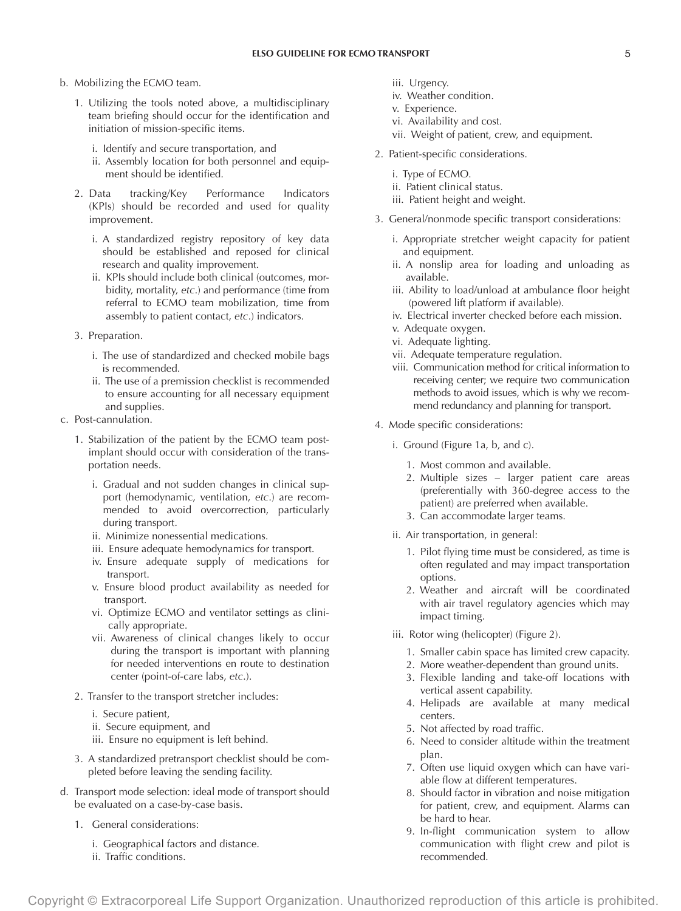- b. Mobilizing the ECMO team.
	- 1. Utilizing the tools noted above, a multidisciplinary team briefing should occur for the identification and initiation of mission-specific items.
		- i. Identify and secure transportation, and
		- ii. Assembly location for both personnel and equipment should be identified.
	- 2. Data tracking/Key Performance Indicators (KPIs) should be recorded and used for quality improvement.
		- i. A standardized registry repository of key data should be established and reposed for clinical research and quality improvement.
		- ii. KPIs should include both clinical (outcomes, morbidity, mortality, *etc*.) and performance (time from referral to ECMO team mobilization, time from assembly to patient contact, *etc*.) indicators.
	- 3. Preparation.
		- i. The use of standardized and checked mobile bags is recommended.
		- ii. The use of a premission checklist is recommended to ensure accounting for all necessary equipment and supplies.
- c. Post-cannulation.
	- 1. Stabilization of the patient by the ECMO team postimplant should occur with consideration of the transportation needs.
		- i. Gradual and not sudden changes in clinical support (hemodynamic, ventilation, *etc*.) are recommended to avoid overcorrection, particularly during transport.
		- ii. Minimize nonessential medications.
		- iii. Ensure adequate hemodynamics for transport.
		- iv. Ensure adequate supply of medications for transport.
		- v. Ensure blood product availability as needed for transport.
		- vi. Optimize ECMO and ventilator settings as clinically appropriate.
		- vii. Awareness of clinical changes likely to occur during the transport is important with planning for needed interventions en route to destination center (point-of-care labs, *etc*.).
	- 2. Transfer to the transport stretcher includes:
		- i. Secure patient,
		- ii. Secure equipment, and
		- iii. Ensure no equipment is left behind.
	- 3. A standardized pretransport checklist should be completed before leaving the sending facility.
- d. Transport mode selection: ideal mode of transport should be evaluated on a case-by-case basis.
	- 1. General considerations:
		- i. Geographical factors and distance.
		- ii. Traffic conditions.
- iii. Urgency.
- iv. Weather condition.
- v. Experience.
- vi. Availability and cost.
- vii. Weight of patient, crew, and equipment.
- 2. Patient-specific considerations.
	- i. Type of ECMO.
	- ii. Patient clinical status.
	- iii. Patient height and weight.
- 3. General/nonmode specific transport considerations:
	- i. Appropriate stretcher weight capacity for patient and equipment.
	- ii. A nonslip area for loading and unloading as available.
	- iii. Ability to load/unload at ambulance floor height (powered lift platform if available).
	- iv. Electrical inverter checked before each mission.
	- v. Adequate oxygen.
	- vi. Adequate lighting.
	- vii. Adequate temperature regulation.
	- viii. Communication method for critical information to receiving center; we require two communication methods to avoid issues, which is why we recommend redundancy and planning for transport.
- 4. Mode specific considerations:
	- i. Ground (Figure 1a, b, and c).
		- 1. Most common and available.
		- 2. Multiple sizes larger patient care areas (preferentially with 360-degree access to the patient) are preferred when available.
		- 3. Can accommodate larger teams.
	- ii. Air transportation, in general:
		- 1. Pilot flying time must be considered, as time is often regulated and may impact transportation options.
		- 2. Weather and aircraft will be coordinated with air travel regulatory agencies which may impact timing.
	- iii. Rotor wing (helicopter) (Figure 2).
		- 1. Smaller cabin space has limited crew capacity.
		- 2. More weather-dependent than ground units.
		- 3. Flexible landing and take-off locations with vertical assent capability.
		- 4. Helipads are available at many medical centers.
		- 5. Not affected by road traffic.
		- 6. Need to consider altitude within the treatment plan.
		- 7. Often use liquid oxygen which can have variable flow at different temperatures.
		- 8. Should factor in vibration and noise mitigation for patient, crew, and equipment. Alarms can be hard to hear.
		- 9. In-flight communication system to allow communication with flight crew and pilot is recommended.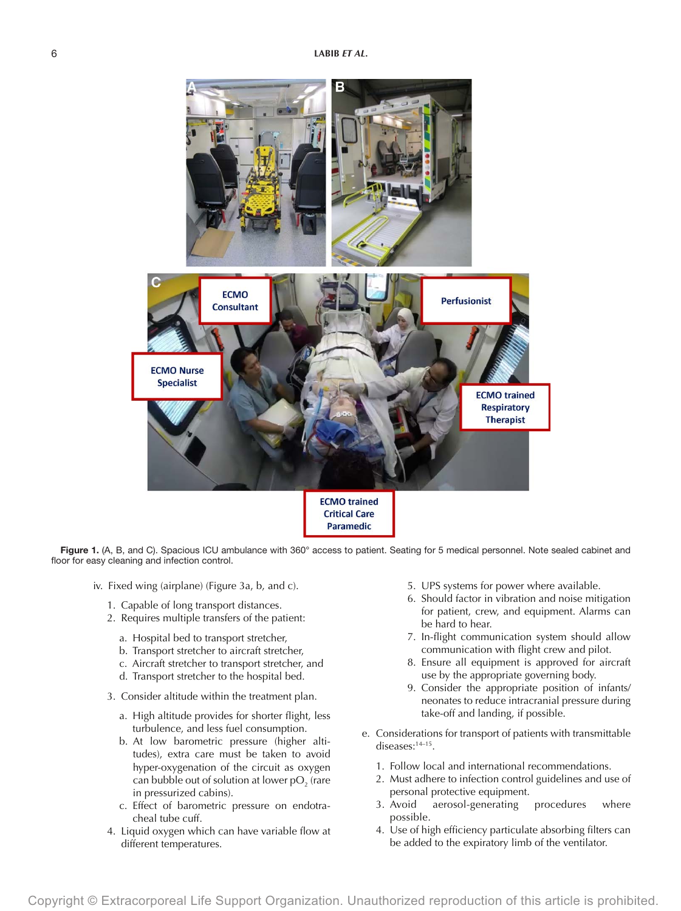

Figure 1. (A, B, and C). Spacious ICU ambulance with 360° access to patient. Seating for 5 medical personnel. Note sealed cabinet and floor for easy cleaning and infection control.

- iv. Fixed wing (airplane) (Figure 3a, b, and c).
	- 1. Capable of long transport distances.
	- 2. Requires multiple transfers of the patient:
		- a. Hospital bed to transport stretcher,
		- b. Transport stretcher to aircraft stretcher,
		- c. Aircraft stretcher to transport stretcher, and
		- d. Transport stretcher to the hospital bed.
	- 3. Consider altitude within the treatment plan.
		- a. High altitude provides for shorter flight, less turbulence, and less fuel consumption.
		- b. At low barometric pressure (higher altitudes), extra care must be taken to avoid hyper-oxygenation of the circuit as oxygen can bubble out of solution at lower p $\mathrm{O}_2^{}$  (rare in pressurized cabins).
		- c. Effect of barometric pressure on endotracheal tube cuff.
	- 4. Liquid oxygen which can have variable flow at different temperatures.
- 5. UPS systems for power where available.
- 6. Should factor in vibration and noise mitigation for patient, crew, and equipment. Alarms can be hard to hear.
- 7. In-flight communication system should allow communication with flight crew and pilot.
- 8. Ensure all equipment is approved for aircraft use by the appropriate governing body.
- 9. Consider the appropriate position of infants/ neonates to reduce intracranial pressure during take-off and landing, if possible.
- e. Considerations for transport of patients with transmittable diseases:14–15.
	- 1. Follow local and international recommendations.
	- 2. Must adhere to infection control guidelines and use of personal protective equipment.
	- 3. Avoid aerosol-generating procedures where possible.
	- 4. Use of high efficiency particulate absorbing filters can be added to the expiratory limb of the ventilator.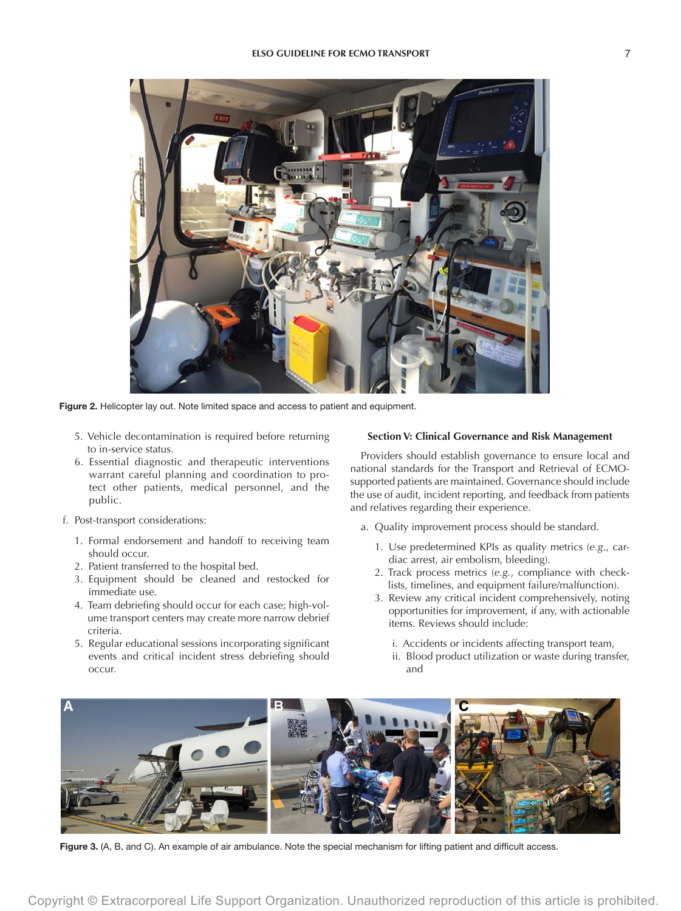

Figure 2. Helicopter lay out. Note limited space and access to patient and equipment.

- 5. Vehicle decontamination is required before returning to in-service status.
- 6. Essential diagnostic and therapeutic interventions warrant careful planning and coordination to protect other patients, medical personnel, and the public.
- f. Post-transport considerations:
	- 1. Formal endorsement and handoff to receiving team should occur.
	- 2. Patient transferred to the hospital bed.
	- 3. Equipment should be cleaned and restocked for immediate use.
	- 4. Team debriefing should occur for each case; high-volume transport centers may create more narrow debrief criteria.
	- 5. Regular educational sessions incorporating significant events and critical incident stress debriefing should occur.

#### **Section V: Clinical Governance and Risk Management**

Providers should establish governance to ensure local and national standards for the Transport and Retrieval of ECMOsupported patients are maintained. Governance should include the use of audit, incident reporting, and feedback from patients and relatives regarding their experience.

- a. Quality improvement process should be standard.
	- 1. Use predetermined KPIs as quality metrics (*e.g*., cardiac arrest, air embolism, bleeding).
	- 2. Track process metrics (*e.g.*, compliance with checklists, timelines, and equipment failure/malfunction).
	- 3. Review any critical incident comprehensively, noting opportunities for improvement, if any, with actionable items. Reviews should include:
		- i. Accidents or incidents affecting transport team,
		- ii. Blood product utilization or waste during transfer, and



Figure 3. (A, B, and C). An example of air ambulance. Note the special mechanism for lifting patient and difficult access.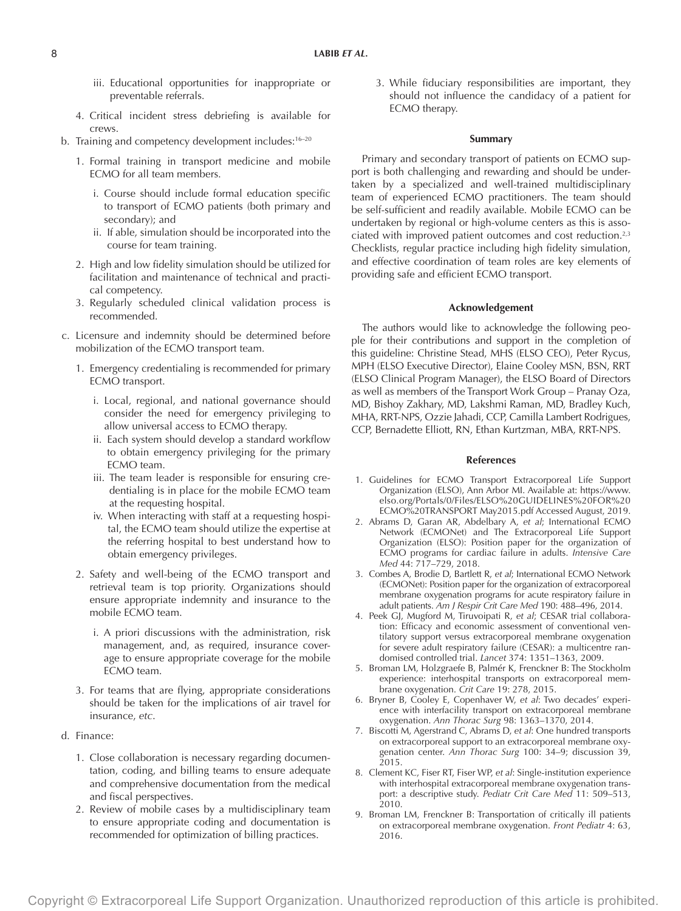- iii. Educational opportunities for inappropriate or preventable referrals.
- 4. Critical incident stress debriefing is available for crews.
- b. Training and competency development includes:<sup>16-20</sup>
	- 1. Formal training in transport medicine and mobile ECMO for all team members.
		- i. Course should include formal education specific to transport of ECMO patients (both primary and secondary); and
		- ii. If able, simulation should be incorporated into the course for team training.
	- 2. High and low fidelity simulation should be utilized for facilitation and maintenance of technical and practical competency.
	- 3. Regularly scheduled clinical validation process is recommended.
- c. Licensure and indemnity should be determined before mobilization of the ECMO transport team.
	- 1. Emergency credentialing is recommended for primary ECMO transport.
		- i. Local, regional, and national governance should consider the need for emergency privileging to allow universal access to ECMO therapy.
		- ii. Each system should develop a standard workflow to obtain emergency privileging for the primary ECMO team.
		- iii. The team leader is responsible for ensuring credentialing is in place for the mobile ECMO team at the requesting hospital.
		- iv. When interacting with staff at a requesting hospital, the ECMO team should utilize the expertise at the referring hospital to best understand how to obtain emergency privileges.
	- 2. Safety and well-being of the ECMO transport and retrieval team is top priority. Organizations should ensure appropriate indemnity and insurance to the mobile ECMO team.
		- i. A priori discussions with the administration, risk management, and, as required, insurance coverage to ensure appropriate coverage for the mobile ECMO team.
	- 3. For teams that are flying, appropriate considerations should be taken for the implications of air travel for insurance, *etc*.
- d. Finance:
	- 1. Close collaboration is necessary regarding documentation, coding, and billing teams to ensure adequate and comprehensive documentation from the medical and fiscal perspectives.
	- 2. Review of mobile cases by a multidisciplinary team to ensure appropriate coding and documentation is recommended for optimization of billing practices.

3. While fiduciary responsibilities are important, they should not influence the candidacy of a patient for ECMO therapy.

#### **Summary**

Primary and secondary transport of patients on ECMO support is both challenging and rewarding and should be undertaken by a specialized and well-trained multidisciplinary team of experienced ECMO practitioners. The team should be self-sufficient and readily available. Mobile ECMO can be undertaken by regional or high-volume centers as this is associated with improved patient outcomes and cost reduction.<sup>2,3</sup> Checklists, regular practice including high fidelity simulation, and effective coordination of team roles are key elements of providing safe and efficient ECMO transport.

### **Acknowledgement**

The authors would like to acknowledge the following people for their contributions and support in the completion of this guideline: Christine Stead, MHS (ELSO CEO), Peter Rycus, MPH (ELSO Executive Director), Elaine Cooley MSN, BSN, RRT (ELSO Clinical Program Manager), the ELSO Board of Directors as well as members of the Transport Work Group – Pranay Oza, MD, Bishoy Zakhary, MD, Lakshmi Raman, MD, Bradley Kuch, MHA, RRT-NPS, Ozzie Jahadi, CCP, Camilla Lambert Rodrigues, CCP, Bernadette Elliott, RN, Ethan Kurtzman, MBA, RRT-NPS.

#### **References**

- 1. Guidelines for ECMO Transport Extracorporeal Life Support Organization (ELSO), Ann Arbor MI. Available at: [https://www.](https://www.elso.org/Portals/0/Files/ELSO%20GUIDELINES%20FOR%20ECMO%20TRANSPORT May2015.pdf) [elso.org/Portals/0/Files/ELSO%20GUIDELINES%20FOR%20](https://www.elso.org/Portals/0/Files/ELSO%20GUIDELINES%20FOR%20ECMO%20TRANSPORT May2015.pdf) [ECMO%20TRANSPORT May2015.pdf](https://www.elso.org/Portals/0/Files/ELSO%20GUIDELINES%20FOR%20ECMO%20TRANSPORT May2015.pdf) Accessed August, 2019.
- 2. Abrams D, Garan AR, Abdelbary A, *et al*; International ECMO Network (ECMONet) and The Extracorporeal Life Support Organization (ELSO): Position paper for the organization of ECMO programs for cardiac failure in adults. *Intensive Care Med* 44: 717–729, 2018.
- 3. Combes A, Brodie D, Bartlett R, *et al*; International ECMO Network (ECMONet): Position paper for the organization of extracorporeal membrane oxygenation programs for acute respiratory failure in adult patients. *Am J Respir Crit Care Med* 190: 488–496, 2014.
- 4. Peek GJ, Mugford M, Tiruvoipati R, *et al*; CESAR trial collaboration: Efficacy and economic assessment of conventional ventilatory support versus extracorporeal membrane oxygenation for severe adult respiratory failure (CESAR): a multicentre randomised controlled trial. *Lancet* 374: 1351–1363, 2009.
- 5. Broman LM, Holzgraefe B, Palmér K, Frenckner B: The Stockholm experience: interhospital transports on extracorporeal membrane oxygenation. *Crit Care* 19: 278, 2015.
- 6. Bryner B, Cooley E, Copenhaver W, *et al*: Two decades' experience with interfacility transport on extracorporeal membrane oxygenation. *Ann Thorac Surg* 98: 1363–1370, 2014.
- 7. Biscotti M, Agerstrand C, Abrams D, *et al*: One hundred transports on extracorporeal support to an extracorporeal membrane oxygenation center. *Ann Thorac Surg* 100: 34–9; discussion 39, 2015.
- 8. Clement KC, Fiser RT, Fiser WP, *et al*: Single-institution experience with interhospital extracorporeal membrane oxygenation transport: a descriptive study. *Pediatr Crit Care Med* 11: 509–513, 2010.
- 9. Broman LM, Frenckner B: Transportation of critically ill patients on extracorporeal membrane oxygenation. *Front Pediatr* 4: 63, 2016.